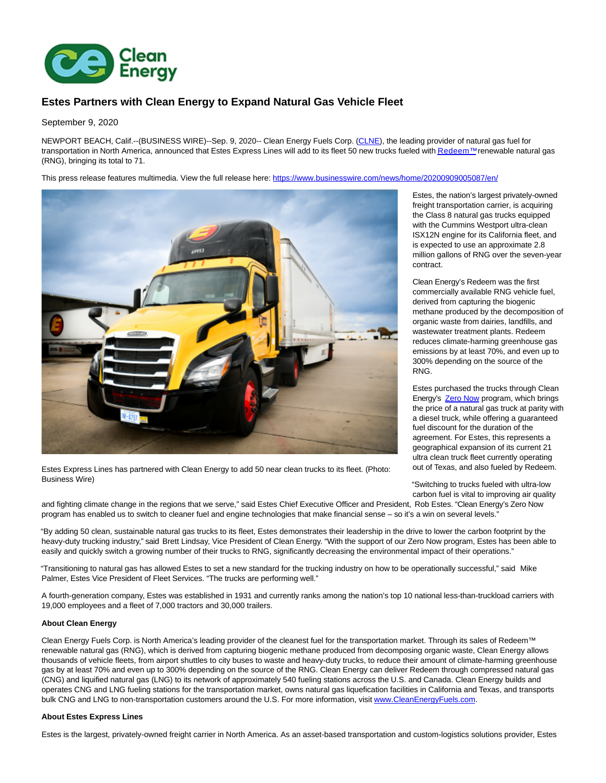

# **Estes Partners with Clean Energy to Expand Natural Gas Vehicle Fleet**

## September 9, 2020

NEWPORT BEACH, Calif.--(BUSINESS WIRE)--Sep. 9, 2020-- Clean Energy Fuels Corp. [\(CLNE\),](https://cts.businesswire.com/ct/CT?id=smartlink&url=https%3A%2F%2Fwww.nasdaq.com%2Fmarket-activity%2Fstocks%2Fclne&esheet=52281928&newsitemid=20200909005087&lan=en-US&anchor=CLNE&index=1&md5=2ddc0f1b56bef477b7ab96fe93b23eca) the leading provider of natural gas fuel for transportation in North America, announced that Estes Express Lines will add to its fleet 50 new trucks fueled wit[h Redeem™ r](https://cts.businesswire.com/ct/CT?id=smartlink&url=https%3A%2F%2Fwww.cleanenergyfuels.com%2Ffuels%2Fredeem-renewable-natural-gas-rng&esheet=52281928&newsitemid=20200909005087&lan=en-US&anchor=Redeem%26%238482%3B&index=2&md5=1f6a96f681495f1c356f954aeb38fcf3)enewable natural gas (RNG), bringing its total to 71.

This press release features multimedia. View the full release here:<https://www.businesswire.com/news/home/20200909005087/en/>



Estes Express Lines has partnered with Clean Energy to add 50 near clean trucks to its fleet. (Photo: Business Wire)

Estes, the nation's largest privately-owned freight transportation carrier, is acquiring the Class 8 natural gas trucks equipped with the Cummins Westport ultra-clean ISX12N engine for its California fleet, and is expected to use an approximate 2.8 million gallons of RNG over the seven-year contract.

Clean Energy's Redeem was the first commercially available RNG vehicle fuel, derived from capturing the biogenic methane produced by the decomposition of organic waste from dairies, landfills, and wastewater treatment plants. Redeem reduces climate-harming greenhouse gas emissions by at least 70%, and even up to 300% depending on the source of the RNG.

Estes purchased the trucks through Clean Energy's **Zero Now** program, which brings the price of a natural gas truck at parity with a diesel truck, while offering a guaranteed fuel discount for the duration of the agreement. For Estes, this represents a geographical expansion of its current 21 ultra clean truck fleet currently operating out of Texas, and also fueled by Redeem.

"Switching to trucks fueled with ultra-low carbon fuel is vital to improving air quality

and fighting climate change in the regions that we serve," said Estes Chief Executive Officer and President, Rob Estes. "Clean Energy's Zero Now program has enabled us to switch to cleaner fuel and engine technologies that make financial sense – so it's a win on several levels."

"By adding 50 clean, sustainable natural gas trucks to its fleet, Estes demonstrates their leadership in the drive to lower the carbon footprint by the heavy-duty trucking industry," said Brett Lindsay, Vice President of Clean Energy. "With the support of our Zero Now program, Estes has been able to easily and quickly switch a growing number of their trucks to RNG, significantly decreasing the environmental impact of their operations."

"Transitioning to natural gas has allowed Estes to set a new standard for the trucking industry on how to be operationally successful," said Mike Palmer, Estes Vice President of Fleet Services. "The trucks are performing well."

A fourth-generation company, Estes was established in 1931 and currently ranks among the nation's top 10 national less-than-truckload carriers with 19,000 employees and a fleet of 7,000 tractors and 30,000 trailers.

### **About Clean Energy**

Clean Energy Fuels Corp. is North America's leading provider of the cleanest fuel for the transportation market. Through its sales of Redeem™ renewable natural gas (RNG), which is derived from capturing biogenic methane produced from decomposing organic waste, Clean Energy allows thousands of vehicle fleets, from airport shuttles to city buses to waste and heavy-duty trucks, to reduce their amount of climate-harming greenhouse gas by at least 70% and even up to 300% depending on the source of the RNG. Clean Energy can deliver Redeem through compressed natural gas (CNG) and liquified natural gas (LNG) to its network of approximately 540 fueling stations across the U.S. and Canada. Clean Energy builds and operates CNG and LNG fueling stations for the transportation market, owns natural gas liquefication facilities in California and Texas, and transports bulk CNG and LNG to non-transportation customers around the U.S. For more information, visi[t www.CleanEnergyFuels.com.](https://cts.businesswire.com/ct/CT?id=smartlink&url=http%3A%2F%2Fwww.CleanEnergyFuels.com&esheet=52281928&newsitemid=20200909005087&lan=en-US&anchor=www.CleanEnergyFuels.com&index=4&md5=83e3d35dbc1dafe0e085f60d641cde8d)

#### **About Estes Express Lines**

Estes is the largest, privately-owned freight carrier in North America. As an asset-based transportation and custom-logistics solutions provider, Estes